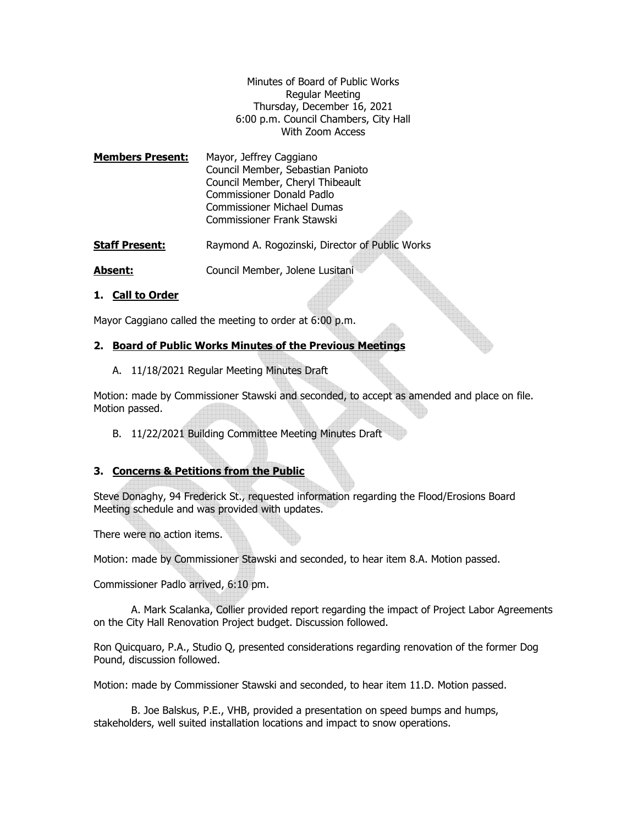Minutes of Board of Public Works Regular Meeting Thursday, December 16, 2021 6:00 p.m. Council Chambers, City Hall With Zoom Access

**Members Present:** Mayor, Jeffrey Caggiano Council Member, Sebastian Panioto Council Member, Cheryl Thibeault Commissioner Donald Padlo Commissioner Michael Dumas Commissioner Frank Stawski

**Staff Present:** Raymond A. Rogozinski, Director of Public Works

**Absent:** Council Member, Jolene Lusitani

### **1. Call to Order**

Mayor Caggiano called the meeting to order at 6:00 p.m.

### **2. Board of Public Works Minutes of the Previous Meetings**

A. 11/18/2021 Regular Meeting Minutes Draft

Motion: made by Commissioner Stawski and seconded, to accept as amended and place on file. Motion passed.

B. 11/22/2021 Building Committee Meeting Minutes Draft

#### **3. Concerns & Petitions from the Public**

Steve Donaghy, 94 Frederick St., requested information regarding the Flood/Erosions Board Meeting schedule and was provided with updates.

There were no action items.

Motion: made by Commissioner Stawski and seconded, to hear item 8.A. Motion passed.

Commissioner Padlo arrived, 6:10 pm.

 A. Mark Scalanka, Collier provided report regarding the impact of Project Labor Agreements on the City Hall Renovation Project budget. Discussion followed.

Ron Quicquaro, P.A., Studio Q, presented considerations regarding renovation of the former Dog Pound, discussion followed.

Motion: made by Commissioner Stawski and seconded, to hear item 11.D. Motion passed.

 B. Joe Balskus, P.E., VHB, provided a presentation on speed bumps and humps, stakeholders, well suited installation locations and impact to snow operations.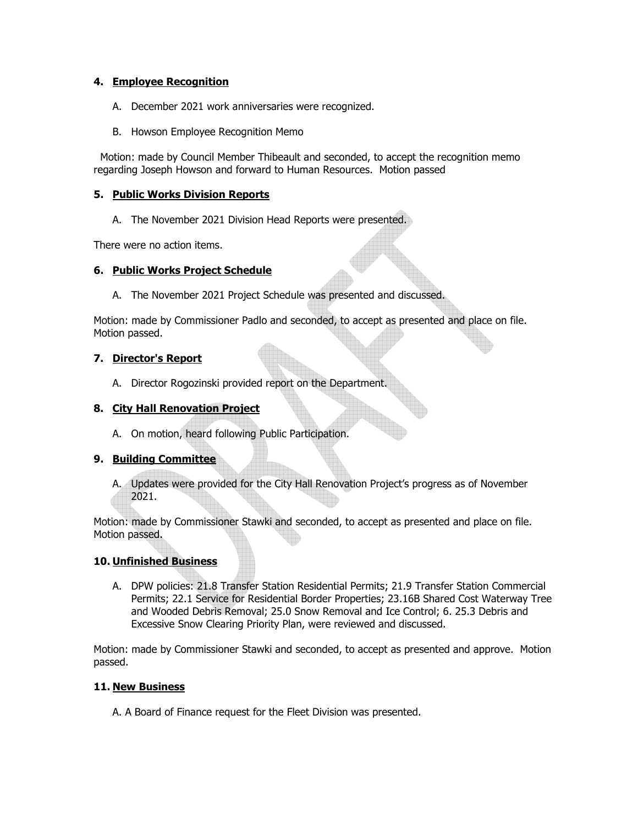# **4. Employee Recognition**

- A. December 2021 work anniversaries were recognized.
- B. Howson Employee Recognition Memo

 Motion: made by Council Member Thibeault and seconded, to accept the recognition memo regarding Joseph Howson and forward to Human Resources. Motion passed

# **5. Public Works Division Reports**

A. The November 2021 Division Head Reports were presented.

There were no action items.

## **6. Public Works Project Schedule**

A. The November 2021 Project Schedule was presented and discussed.

Motion: made by Commissioner Padlo and seconded, to accept as presented and place on file. Motion passed.

## **7. Director's Report**

A. Director Rogozinski provided report on the Department.

# **8. City Hall Renovation Project**

A. On motion, heard following Public Participation.

## **9. Building Committee**

A. Updates were provided for the City Hall Renovation Project's progress as of November 2021.

Motion: made by Commissioner Stawki and seconded, to accept as presented and place on file. Motion passed.

## **10. Unfinished Business**

A. DPW policies: 21.8 Transfer Station Residential Permits; 21.9 Transfer Station Commercial Permits; 22.1 Service for Residential Border Properties; 23.16B Shared Cost Waterway Tree and Wooded Debris Removal; 25.0 Snow Removal and Ice Control; 6. 25.3 Debris and Excessive Snow Clearing Priority Plan, were reviewed and discussed.

Motion: made by Commissioner Stawki and seconded, to accept as presented and approve. Motion passed.

## **11. New Business**

A. A Board of Finance request for the Fleet Division was presented.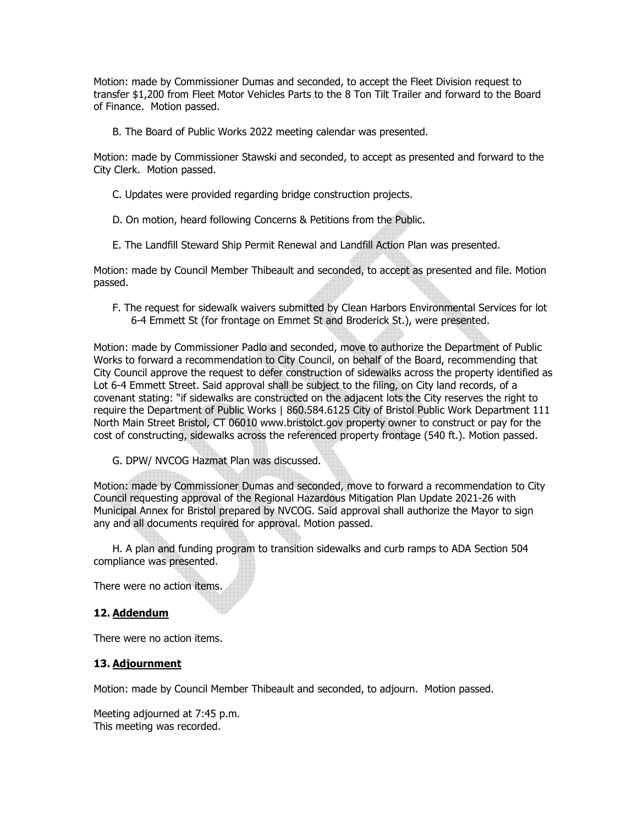Motion: made by Commissioner Dumas and seconded, to accept the Fleet Division request to transfer \$1,200 from Fleet Motor Vehicles Parts to the 8 Ton Tilt Trailer and forward to the Board of Finance. Motion passed.

B. The Board of Public Works 2022 meeting calendar was presented.

Motion: made by Commissioner Stawski and seconded, to accept as presented and forward to the City Clerk. Motion passed.

- C. Updates were provided regarding bridge construction projects.
- D. On motion, heard following Concerns & Petitions from the Public.
- E. The Landfill Steward Ship Permit Renewal and Landfill Action Plan was presented.

Motion: made by Council Member Thibeault and seconded, to accept as presented and file. Motion passed.

F. The request for sidewalk waivers submitted by Clean Harbors Environmental Services for lot 6-4 Emmett St (for frontage on Emmet St and Broderick St.), were presented.

Motion: made by Commissioner Padlo and seconded, move to authorize the Department of Public Works to forward a recommendation to City Council, on behalf of the Board, recommending that City Council approve the request to defer construction of sidewalks across the property identified as Lot 6-4 Emmett Street. Said approval shall be subject to the filing, on City land records, of a covenant stating: "if sidewalks are constructed on the adjacent lots the City reserves the right to require the Department of Public Works | 860.584.6125 City of Bristol Public Work Department 111 North Main Street Bristol, CT 06010 www.bristolct.gov property owner to construct or pay for the cost of constructing, sidewalks across the referenced property frontage (540 ft.). Motion passed.

G. DPW/ NVCOG Hazmat Plan was discussed.

Motion: made by Commissioner Dumas and seconded, move to forward a recommendation to City Council requesting approval of the Regional Hazardous Mitigation Plan Update 2021-26 with Municipal Annex for Bristol prepared by NVCOG. Said approval shall authorize the Mayor to sign any and all documents required for approval. Motion passed.

H. A plan and funding program to transition sidewalks and curb ramps to ADA Section 504 compliance was presented.

There were no action items.

## **12. Addendum**

There were no action items.

#### **13. Adjournment**

Motion: made by Council Member Thibeault and seconded, to adjourn. Motion passed.

Meeting adjourned at 7:45 p.m. This meeting was recorded.